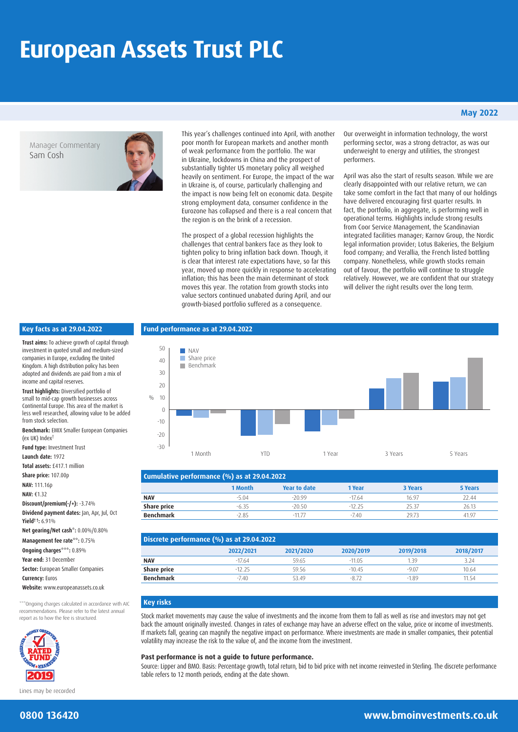# **European Assets Trust PLC**

Manager Commentary Sam Cosh



This year's challenges continued into April, with another poor month for European markets and another month of weak performance from the portfolio. The war in Ukraine, lockdowns in China and the prospect of substantially tighter US monetary policy all weighed heavily on sentiment. For Europe, the impact of the war in Ukraine is, of course, particularly challenging and the impact is now being felt on economic data. Despite strong employment data, consumer confidence in the Eurozone has collapsed and there is a real concern that the region is on the brink of a recession.

The prospect of a global recession highlights the challenges that central bankers face as they look to tighten policy to bring inflation back down. Though, it is clear that interest rate expectations have, so far this year, moved up more quickly in response to accelerating inflation; this has been the main determinant of stock moves this year. The rotation from growth stocks into value sectors continued unabated during April, and our growth-biased portfolio suffered as a consequence.

Our overweight in information technology, the worst performing sector, was a strong detractor, as was our underweight to energy and utilities, the strongest performers.

**May 2022**

April was also the start of results season. While we are clearly disappointed with our relative return, we can take some comfort in the fact that many of our holdings have delivered encouraging first quarter results. In fact, the portfolio, in aggregate, is performing well in operational terms. Highlights include strong results from Coor Service Management, the Scandinavian integrated facilities manager; Karnov Group, the Nordic legal information provider; Lotus Bakeries, the Belgium food company; and Verallia, the French listed bottling company. Nonetheless, while growth stocks remain out of favour, the portfolio will continue to struggle relatively. However, we are confident that our strategy will deliver the right results over the long term.

#### **Key facts as at 29.04.2022**

**Trust aims:** To achieve growth of capital through investment in quoted small and medium-sized companies in Europe, excluding the United Kingdom. A high distribution policy has been adopted and dividends are paid from a mix of income and capital reserves.

**Trust highlights:** Diversified portfolio of small to mid-cap growth businesses across Continental Europe. This area of the market is less well researched, allowing value to be added from stock selection.

**Benchmark:** EMIX Smaller European Companies (ex UK) Index†

**Fund type:** Investment Trust

**Launch date:** 1972 **Total assets:** £417.1 million **Share price:** 107.00p **NAV:** 111.16p **NAV:** €1.32 **Discount/premium(-/+):** -3.74% **Dividend payment dates:** Jan, Apr, Jul, Oct **Yield† †:** 6.91%

**Net gearing/Net cash\*:** 0.00%/0.80%

**Management fee rate\*\*:** 0.75% **Ongoing charges\*\*\*:** 0.89% **Year end:** 31 December **Sector:** European Smaller Companies

**Currency:** Euros

**Website:** www.europeanassets.co.uk

\*\*\*Ongoing charges calculated in accordance with AIC recommendations. Please refer to the latest annual report as to how the fee is structured.



Lines may be recorded

## 50 **Fund performance as at 29.04.2022**



| Cumulative performance (%) as at 29.04.2022 |         |                     |          |         |         |
|---------------------------------------------|---------|---------------------|----------|---------|---------|
|                                             | 1 Month | <b>Year to date</b> | 1 Year   | 3 Years | 5 Years |
| <b>NAV</b>                                  | $-5.04$ | $-20.99$            | $-17.64$ | 16.97   | 22.44   |
| Share price                                 | $-6.35$ | $-20.50$            | $-12.25$ | 25.37   | 26.13   |
| <b>Benchmark</b>                            | $-285$  | $-1177$             | $-7.40$  | 29.73   | 41.97   |

| Discrete performance (%) as at 29.04.2022 |           |           |           |           |           |
|-------------------------------------------|-----------|-----------|-----------|-----------|-----------|
|                                           | 2022/2021 | 2021/2020 | 2020/2019 | 2019/2018 | 2018/2017 |
| <b>NAV</b>                                | $-17.64$  | 59.65     | $-11.05$  | 1.39      | 3.24      |
| Share price                               | $-12, 25$ | 59.56     | $-10.45$  | $-9.07$   | 10.64     |
| <b>Benchmark</b>                          | $-7.40$   | 53 49     | $-8.72$   | $-1.89$   | 11.54     |

#### **Key risks**

 $0/<sub>l</sub>$ 

Stock market movements may cause the value of investments and the income from them to fall as well as rise and investors may not get back the amount originally invested. Changes in rates of exchange may have an adverse effect on the value, price or income of investments. If markets fall, gearing can magnify the negative impact on performance. Where investments are made in smaller companies, their potential volatility may increase the risk to the value of, and the income from the investment.

#### **Past performance is not a guide to future performance.**

Source: Lipper and BMO. Basis: Percentage growth, total return, bid to bid price with net income reinvested in Sterling. The discrete performance table refers to 12 month periods, ending at the date shown.